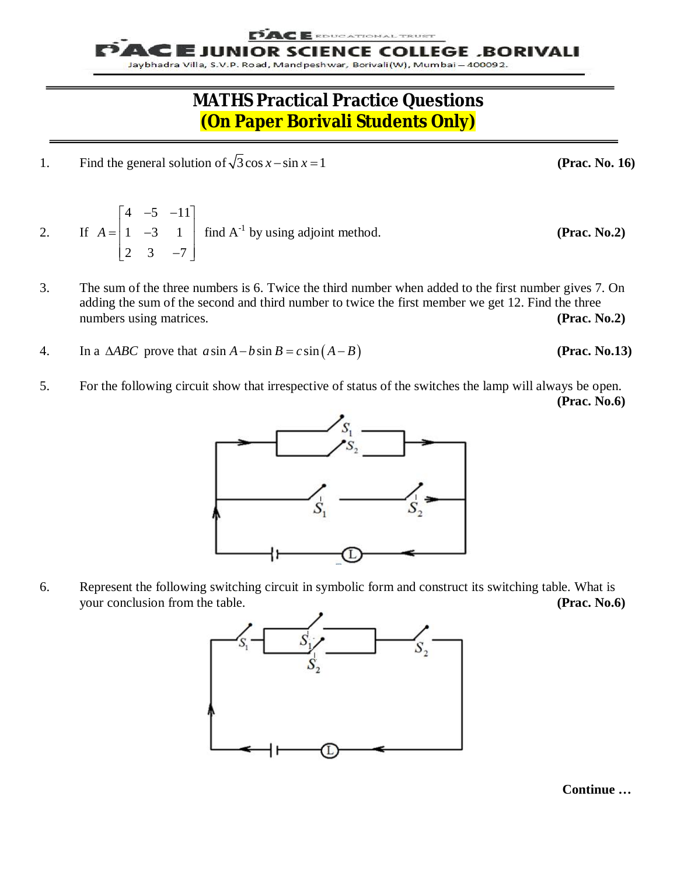E EDUCATIONAL TRUST

UNIOR SCIENCE COLLEGE ,BORIVALI Jaybhadra Villa, S.V.P. Road, Mandpeshwar, Borivali(W), Mumbai - 400092.

## **MATHS Practical Practice Questions (On Paper Borivali Students Only)**

- 1. Find the general solution of  $\sqrt{3}$  cos  $x \sin x = 1$
- 2. If  $4 -5 -11$  $1 -3 1$ 2  $3 - 7$ *A*  $\begin{vmatrix} 4 & -5 & -11 \end{vmatrix}$  $=\begin{vmatrix} 1 & -3 & 1 \end{vmatrix}$  $\begin{bmatrix} 2 & 3 & -7 \end{bmatrix}$ find  $A^{-1}$  by using adjoint method. **(Prac. No.2)**
- 3. The sum of the three numbers is 6. Twice the third number when added to the first number gives 7. On adding the sum of the second and third number to twice the first member we get 12. Find the three numbers using matrices. **(Prac. No.2) (Prac. No.2)**
- 4. In a  $\triangle ABC$  prove that  $a \sin A b \sin B = c \sin (A B)$  (Prac. No.13)
- 5. For the following circuit show that irrespective of status of the switches the lamp will always be open. **(Prac. No.6)**



6. Represent the following switching circuit in symbolic form and construct its switching table. What is your conclusion from the table. **(Prac. No.6)**



**Continue …**

**(Prac. No. 16)**